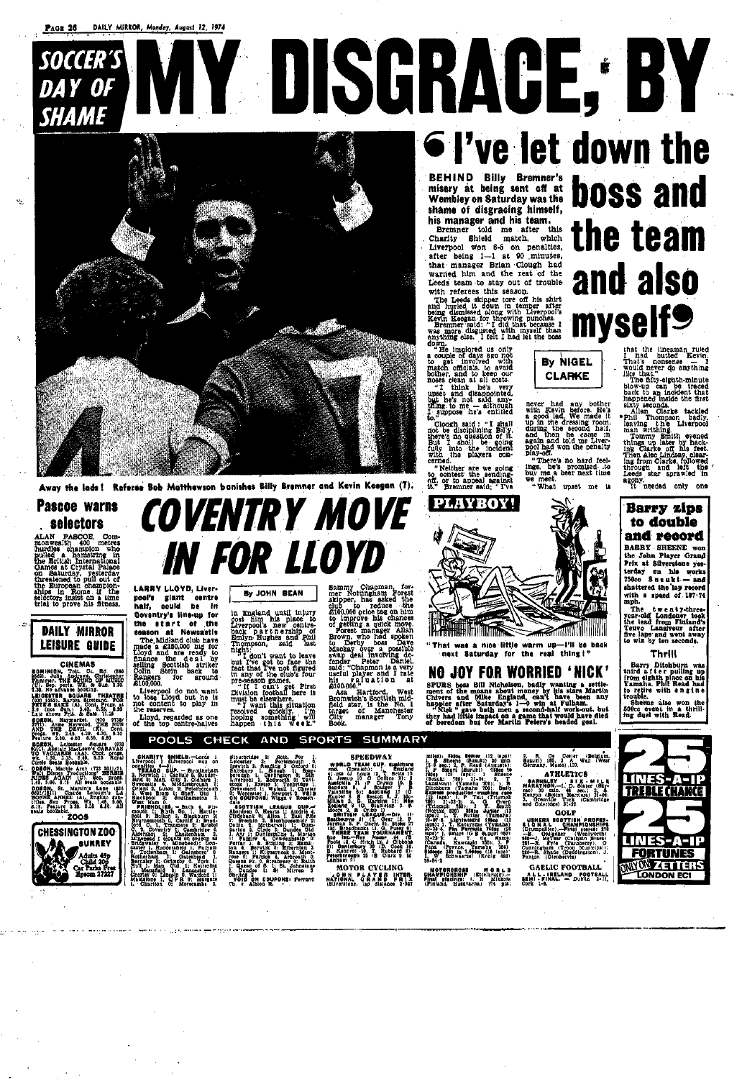# SOCCER'S **DAY OF SHAME**



Away the lads! Referse Bob Matthewson banishes Billy Bremner and Kevin Keegan (7).

# Pascoe warns *selectors*

. **CONCUCT Community** Community Community and the primary in the Eritian International Camera Saturday, presentational Camera Saturday, presentational community on European champion-ships in Rome if the selectors insist on

# **DAILY MIRROR LEISURE GUIDE**

#### **CINEMAS**

**DOMINION, Totil C. Rd. (550)**<br>2632. Julie Andress, Christopher<br>271mmer, THE SOUND OF MUSIC<br>(U). Sep. peris. Wr. & Sun. 3.30.<br>7.30. No advance booking.

7.30. No advance booking.<br>1.200 5252, Bauck B. THEATRE<br>(830 5252), Banna Streishnd. FOR<br>FETE'S SAKE (A), Cont. Progs. at<br>3.0 (Rote Frid. & Sats. 11.16<br>Late Shows Frid. & Sats. 11.16

Full the shown Fris. & Sats. 11.15<br>
11.16 shown Fris. & Sats. 11.15<br>
11.16 shown Fris. DEVIL (X1. Cont.<br>
AND THE DEVIL (X1. Cont.<br>
AND THE DEVIL (X1. 4.30, 6.30, 6.30)<br>
Feature 1.60, 4.50, 6.50, 6.30<br>
Feature 1.60, 4.50, 6

Liverpool 1 (Liverpool won on<br>
2 TEXAQO 6UP, Brutiningham<br>
3, Norwich 1: Carlisle 0, Sunder-<br>
1and 0: Man, City 3, Oldnam 1:<br>
10: Man, City 3, Oldnam 1:<br>
Orient 2, Liuton 2: Peterpools<br>
0: Crient 2, Liuton 2: Peterpools<br>
1 Orient 3, Luion 2: Pedericorum 1, Westername and The Carl State and the spin of the spin of the spin of the spin of the spin of the spin of the property of the property of the spin of the spin of the spin of the spin of th

**LARRY LLOYD. Liver-**

pool's giant centre

half, could be in

Coventry's line-up for

the start of the

season at Newcastle

me. Midland club have<br>made a £150,000 hd for<br>Lioyd and are ready to<br>finance the deal by<br>selling Scottish striker<br>Colin Stein back<br>Rangers for around<br>£100,000.<br>finance deal of the selling

Liverpool do not want<br>to lose Lloyd but he is

not content to play in the reserves.

Lloyd, regarded as one<br>of the top centre-halves

By JOHN BEAN

**IN FOR LLOYD** 

COVENTRY MOVE

in England until injury in England usual place to<br>Civerpool's new centre-<br>Liverpool's new centre-<br>back partnership of<br>Emlyn-Hughes and Phil<br>Thompson, said last night:

night:<br>
international conditions and the part of the spatial field of the spatial and the conditions of the condition of the condition of the server of the most be elected with the spatial condition of the server of the sp

Sammy Chapman, for-<br>
mer Nottingham Forest<br>
mer Nottingham Forest<br>
skipper, has asked the<br>
club to reduce the<br>
club to reduce the<br>
club to reduce the<br>
club to reduce the<br>
club to reduce the<br>
component proper<br>
Forest manage

# with referees this seasou.<br>The Leeds skipper tore off his shirt<br>and hurled it down in temper after<br>being dismissed along with Liverpool's<br>Kevin Keegan for throwing punches.<br>Bremner said: "I did that because I<br>was more disg shymn, ease. I felt I has down.<br>
down.<br>
The implored us only to<br>
the the involved with<br>
match. officials. to avoid<br>
bother, and to keep our<br>
noses clean at all costs.<br>
the state of the state By NIGEL **CLARKE** "I think he's very<br>upset and disappointed,<br>but he's not said any-<br>thing to me - although<br>Le.<br>I suppose he's entitled<br>Le." never had any bother<br>with Eevin before. He's<br>a good lad. We made it<br>up in the dressing room,<br>during the second half,<br>and then he came in<br>again and told me Liver-<br>pool had won the penalty<br>play-off.<br>"There's no hard for to.

his manager and his team.

with referees this season.

to."<br>Cough said : "I shall<br>not be disciplining Billy,<br>there's no question of it.<br>But I shall be equing<br>fully into the incident<br>with the players con-<br>with the players concerned.

**VIY DISGRAGE: BY** 

"Weither are we going<br>"Weither are we going<br>"" Dre to appeal against<br>"" Bremner said; " I've to<br>0H,<br>1t,"

• I've let down the **BEHIND Billy Bremner's boss and** misery at being sent off at **Wembley on Saturday was the** shame of disgracing himself, the team Bremner told me after this Charity Shield match, which Liverpool won 6-5 on penalties, after being 1-1 at 90 minutes, that manager Brian Clough had and also warned him and the rest of the Leeds team to stay out of trouble myself<sup>9</sup>

that the linesman ruled<br>I had butted Kevin,<br>That's nonsense<br>would never do anything<br>like that,"<br>the fitty-eighth-minute<br>blow-up can be traced

The fifty-eighth-minute<br>blow-up can be traced<br>back to an incident that<br>happened inside the first<br>skiv seconds.<br>Allan Clarke tackled<br>Fhil Thompson badiy.<br>Paving the Liverpool<br>man writhing.<br>The minute of the conditional firs



BARRY SHEENE won the John Player Grand Prix at Silverstone yesterday on his works  $750cc$  Suzuki — and shattered the lap record with a speed of  $107.74$ mph.

The twenty-three-<br>year-old Londoner took<br>the lead from Finland's<br>Teuvo Lansivour after<br>five laps and went away<br>to win by ten seconds.

### Thrill

Barry Ditchburn was<br>third a f t e r puiling up<br>from eighth place on his<br>Yamaha. Phil Read had to retire with engine

sheene also won the 500cc event in a thrill-<br>ing duel with Read.

# LINES-A-I **TDERIE**

# **PLAYBOY! THE REAL PROPERTY AND STATE**

"That was a nice little warm up-I'll be back next Saturday for the real thing!"

# **NO JOY FOR WORRIED 'NICK'**

FIVE boss Bill Nicholson, badly wanting a settle-<br>spent of the moans about money by his stars Martin<br>Chivers and Mike England, can't have been any<br>happler after Saturdays 1-0 win at Fulham.<br>"Nick" gave both men a second-ha

POOLS CHECK AND SPORTS SUMMARY

CMARITY SMIELD.-Leeds I<br>Verpool ) (Liverpool won on

Stouchridge 2: Note, For 1, Letowich 0.<br>Letowich 2: Reading 2 Cational 0.<br>Salisbury 1. Slough 1: Cation 0.<br>Salisbury 1. Slough 1: Cation 1.<br>Liverpool 1. Bedwarth 0. Tavi-<br>Stook 1. Excer 3. Tonbridge 1.<br>Gravessend 1: Warder

# **SPEEDWAY**



**ATHLETICS** 

2. R. De Coster (Belgium,<br>Suguki) (86, 3 A Well (West<br>Germany, Matco) (33. BARNELLY SIX-MILE<br>
MARKINGH.-1, D. Slater (Skyen)<br>
MARKINGH.-1, D. Slater (Skyen)<br>
Kenyon (Bolton Marriers) 31-03:<br>
X. Grenville Turkers) 31-03:<br>
And Coleridge 31-22.

"There's no hard feel-<br>ings. he's promised. to<br>buy me a beer next time<br>we meet.

"What upset me is

miles): 599cc Senier (12 laps):<br>1. B Sheene (Suauki) 20 min<br>15.6 sec.: 2. P. Read (Auguste): 5<br>5. P Smart (Suruki) (Sheene<br>780cc (20 lane): 1. Sheene<br>1824 Your (Yamaha 700): 5. B<br>Dichburn (Yamaha 700): 5. B<br>5, Press produc

are such as Marill's Labe 1938<br>1939 - San Marill's Labe 1938<br>2000 - Anne Barde Lelouch's Labe<br>2000 - Annual Marida Lelouch's Labe<br>5115 - Feature 2:30, 5:30 - 310<br>1941 - Marine 1930 - 2:30 - 3:30 - 3:10<br>1941 - Mouzabe 1930  $2005$ 

**CHESSINGTON ZOO-SURREY** Adults 45p<br>Child 20p<br>Car Parks Free<br>Epsom 27227 φ

Cravesnd I: Watsall I, Chester 3, 2019<br>6. Worcester 1: Newport 2, Voltage 2019<br>6. Good PONE: Wester 1, Strategy 2, 2019<br>2019<br>2019 1: Electric 3, Allon 1: East Pice 2, Motherwell 1: Dun-<br>2019 2: Strategy 3, Electronic 2, Mo 2. Dunges : . . . .<br>Stirling 2. 00UPONS: Ferranti<br>Th. v. Albion R.

SPEEDWAY<br>
wolld ream our and the state of the state of the state of the state of the state of the state of the state of the state of the state of the state of the state of the state of the state of the state of the state o

MOTOR CYCLING ONN PLAYER INTER-<br>NATIONAL GRAND PRIX<br>(Silverstone, 140 distance 2-927) Dichburn (Yamsha 700). Daily<br>
2011 | 1921). I. F. Tails (Thumph 1936). The State of the California (Thumph 1936). I. The State (Thumph 1936). I. The State (1936). I. The State (1946). I. The State (1946). I. The Californi

MOTORCROSS WORLD<br>CHAMPIONSHIP (Ettelbruck).-<br>Final placings: 1. H Mikkola<br>(Finland, Husqvarna) 174 p14;

**GOLF** USHERS SCOTTIBH PROFES-<br>
1. QM A.L. CHAMPIONSHIPS<br>
(Drumpslier).—Final scores: 216<br>
(Drumpslier).—Final scores: 216<br>
1. McTear (Wentworth)<br>
261—R. Fyle (Turnberry). 0<br>
Cumingham (Troon Municipal).<br>
226—R. Shade (Duddingsio

**GAELIC FOOTBALL** ALL-MAY FUUIBALL<br>ALL-MELAND FOOTBALL<br>BEMI-FINAL — Duble 2-11,<br>Cork 1-8.